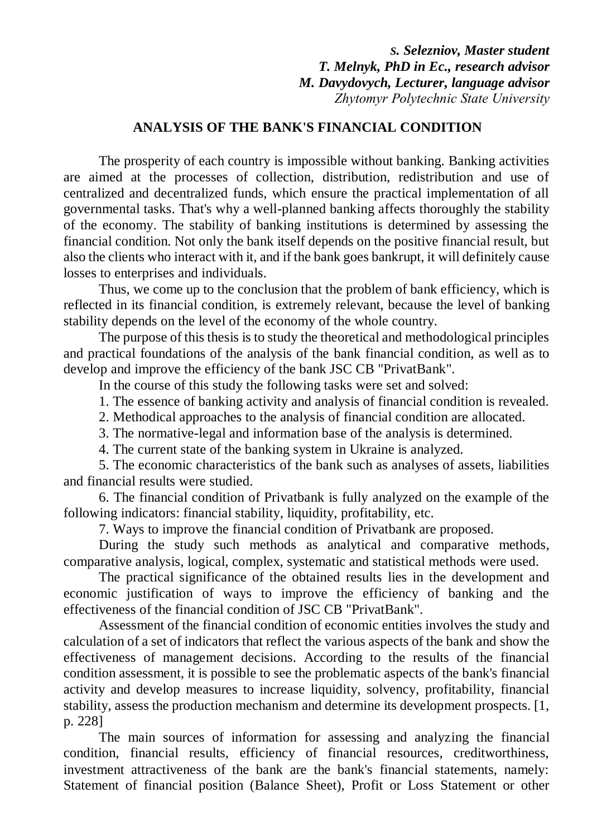*S. Selezniov, Master student T. Melnyk, PhD in Ec., research advisor M. Davydovych, Lecturer, language advisor Zhytomyr Polytechnic State University*

## **ANALYSIS OF THE BANK'S FINANCIAL CONDITION**

The prosperity of each country is impossible without banking. Banking activities are aimed at the processes of collection, distribution, redistribution and use of centralized and decentralized funds, which ensure the practical implementation of all governmental tasks. That's why a well-planned banking affects thoroughly the stability of the economy. The stability of banking institutions is determined by assessing the financial condition. Not only the bank itself depends on the positive financial result, but also the clients who interact with it, and if the bank goes bankrupt, it will definitely cause losses to enterprises and individuals.

Thus, we come up to the conclusion that the problem of bank efficiency, which is reflected in its financial condition, is extremely relevant, because the level of banking stability depends on the level of the economy of the whole country.

The purpose of this thesis is to study the theoretical and methodological principles and practical foundations of the analysis of the bank financial condition, as well as to develop and improve the efficiency of the bank JSC CB "PrivatBank".

In the course of this study the following tasks were set and solved:

1. The essence of banking activity and analysis of financial condition is revealed.

2. Methodical approaches to the analysis of financial condition are allocated.

3. The normative-legal and information base of the analysis is determined.

4. The current state of the banking system in Ukraine is analyzed.

5. The economic characteristics of the bank such as analyses of assets, liabilities and financial results were studied.

6. The financial condition of Privatbank is fully analyzed on the example of the following indicators: financial stability, liquidity, profitability, etc.

7. Ways to improve the financial condition of Privatbank are proposed.

During the study such methods as analytical and comparative methods, comparative analysis, logical, complex, systematic and statistical methods were used.

The practical significance of the obtained results lies in the development and economic justification of ways to improve the efficiency of banking and the effectiveness of the financial condition of JSC CB "PrivatBank".

Assessment of the financial condition of economic entities involves the study and calculation of a set of indicators that reflect the various aspects of the bank and show the effectiveness of management decisions. According to the results of the financial condition assessment, it is possible to see the problematic aspects of the bank's financial activity and develop measures to increase liquidity, solvency, profitability, financial stability, assess the production mechanism and determine its development prospects. [1, p. 228]

The main sources of information for assessing and analyzing the financial condition, financial results, efficiency of financial resources, creditworthiness, investment attractiveness of the bank are the bank's financial statements, namely: Statement of financial position (Balance Sheet), Profit or Loss Statement or other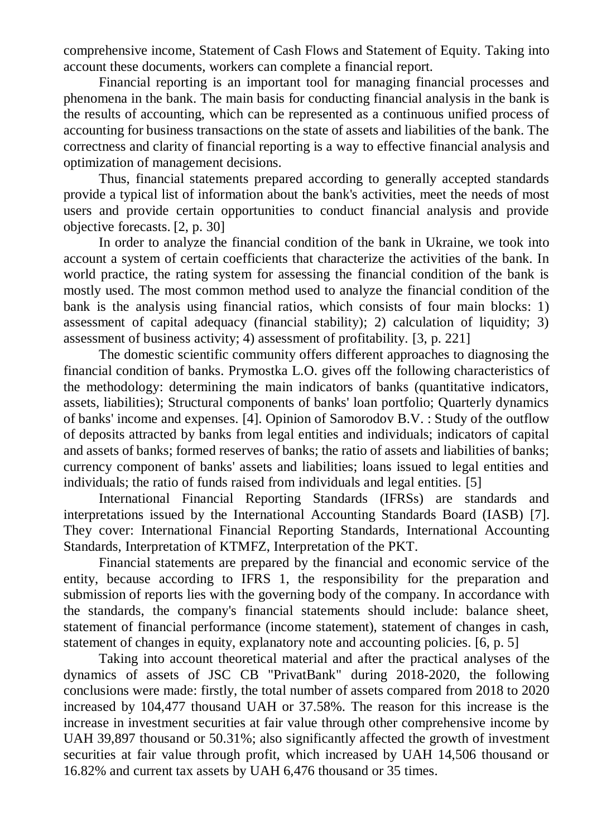comprehensive income, Statement of Cash Flows and Statement of Equity. Taking into account these documents, workers can complete a financial report.

Financial reporting is an important tool for managing financial processes and phenomena in the bank. The main basis for conducting financial analysis in the bank is the results of accounting, which can be represented as a continuous unified process of accounting for business transactions on the state of assets and liabilities of the bank. The correctness and clarity of financial reporting is a way to effective financial analysis and optimization of management decisions.

Thus, financial statements prepared according to generally accepted standards provide a typical list of information about the bank's activities, meet the needs of most users and provide certain opportunities to conduct financial analysis and provide objective forecasts. [2, p. 30]

In order to analyze the financial condition of the bank in Ukraine, we took into account a system of certain coefficients that characterize the activities of the bank. In world practice, the rating system for assessing the financial condition of the bank is mostly used. The most common method used to analyze the financial condition of the bank is the analysis using financial ratios, which consists of four main blocks: 1) assessment of capital adequacy (financial stability); 2) calculation of liquidity; 3) assessment of business activity; 4) assessment of profitability. [3, p. 221]

The domestic scientific community offers different approaches to diagnosing the financial condition of banks. Prymostka L.O. gives off the following characteristics of the methodology: determining the main indicators of banks (quantitative indicators, assets, liabilities); Structural components of banks' loan portfolio; Quarterly dynamics of banks' income and expenses. [4]. Opinion of Samorodov B.V. : Study of the outflow of deposits attracted by banks from legal entities and individuals; indicators of capital and assets of banks; formed reserves of banks; the ratio of assets and liabilities of banks; currency component of banks' assets and liabilities; loans issued to legal entities and individuals; the ratio of funds raised from individuals and legal entities. [5]

International Financial Reporting Standards (IFRSs) are standards and interpretations issued by the International Accounting Standards Board (IASB) [7]. They cover: International Financial Reporting Standards, International Accounting Standards, Interpretation of KTMFZ, Interpretation of the PKT.

Financial statements are prepared by the financial and economic service of the entity, because according to IFRS 1, the responsibility for the preparation and submission of reports lies with the governing body of the company. In accordance with the standards, the company's financial statements should include: balance sheet, statement of financial performance (income statement), statement of changes in cash, statement of changes in equity, explanatory note and accounting policies. [6, p. 5]

Taking into account theoretical material and after the practical analyses of the dynamics of assets of JSC CB "PrivatBank" during 2018-2020, the following conclusions were made: firstly, the total number of assets compared from 2018 to 2020 increased by 104,477 thousand UAH or 37.58%. The reason for this increase is the increase in investment securities at fair value through other comprehensive income by UAH 39,897 thousand or 50.31%; also significantly affected the growth of investment securities at fair value through profit, which increased by UAH 14,506 thousand or 16.82% and current tax assets by UAH 6,476 thousand or 35 times.